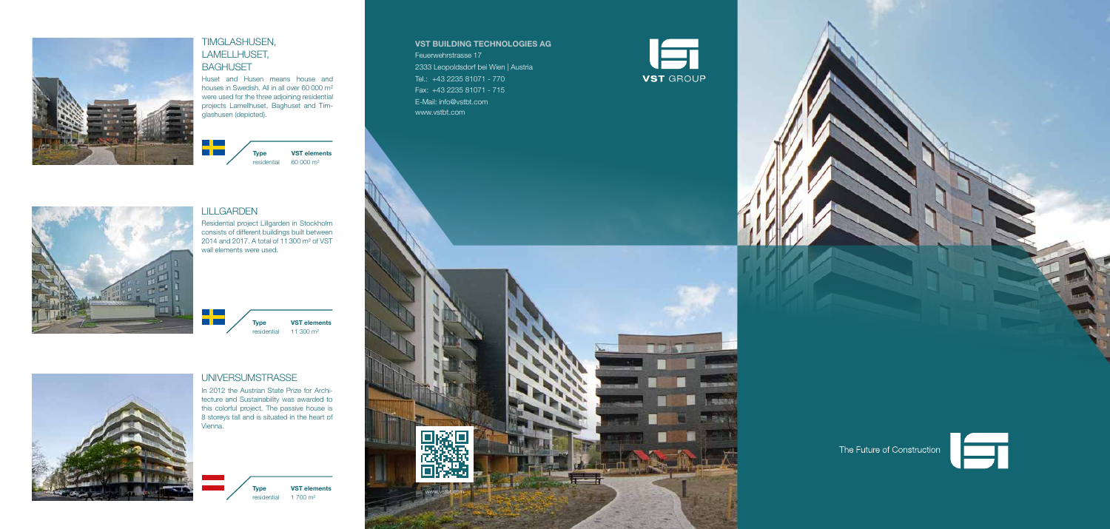

### TIMGLASHUSEN, LAMELLHUSET, BAGHUSET

Huset and Husen means house and houses in Swedish. All in all over 60 000 m² were used for the three adjoining residential projects Lamellhuset, Baghuset and Timglashusen (depicted).

> **Type** residential 60 000 m² **VST elements**

# UNIVERSUMSTRASSE

In 2012 the Austrian State Prize for Architecture and Sustainability was awarded to this colorful project. The passive house is 8 storeys tall and is situated in the heart of Vienna.

> **Type** residential **VST elements** 1 700 m²

#### LILLGARDEN

<u> Tan</u> m m

Residential project Lillgarden in Stockholm consists of different buildings built between 2014 and 2017. A total of 11 300 m² of VST wall elements were used.





#### **VST BUILDING TECHNOLOGIES AG** Feuerwehrstrasse 17

2333 Leopoldsdorf bei Wien | Austria Tel.: +43 2235 81071 - 770 Fax: +43 2235 81071 - 715 E-Mail: info@vstbt.com www.vstbt.com